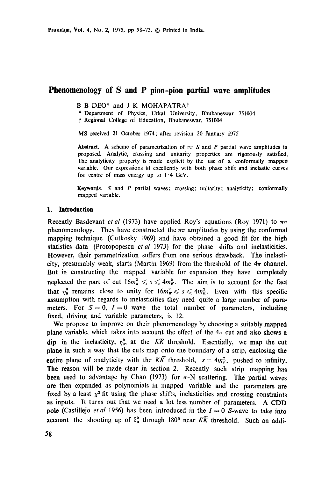# **Phenomenology of S and P pion-pion partial wave amplitudes**

**B B** DEO\* and **J K** MOHAPATRAt

\* Department of Physics, Utkal University, Bhubaneswar 751004

t Regional College of Education, Bhubaneswar, 751004

MS received 21 October 1974; after revision 20 January 1975

Abstract. A scheme of parametrization of  $\pi\pi S$  and P partial wave amplitudes is proposed. Analytic, crossing and unitarity properties are rigorously satisfied. The analyticity property is made explicit by the use of a conformally mapped variable. Our expressions fit excellently with both phase shift and inelastic curves for centre of mass energy up to  $1.4$  GeV.

Keywords.  $S$  and  $P$  partial waves; crossing; unitarity; analyticity; conformally mapped variable.

### **1. Introduction**

**Recently Basdevant** *et al* (1973) have applied Roy's equations (Roy 1971) to  $\pi\pi$ phenomenology. They have constructed the  $\pi\pi$  amplitudes by using the conformal mapping technique (Cutkosky 1969) and have obtained a good fit for the high statistics data (Protopopescu *etal* 1973) for the phase shifts and inelasticities. However, their parametrization suffers from one serious drawback. The inelasticity, presumably weak, starts (Martin 1969) from the threshold of the  $4\pi$  channel. But in constructing the mapped variable for expansion they have completely neglected the part of cut  $16m_{\pi}^2 \le s \le 4m_K^2$ . The aim is to account for the fact that  $\eta_0^0$  remains close to unity for  $16m_\pi^2 \leq s \leq 4m_K^2$ . Even with this specific assumption with regards to inelasticities they need quite a large number of parameters. For  $S = 0$ ,  $I = 0$  wave the total number of parameters, including fixed, driving and variable parameters, is 12.

We propose to improve on their phenomenology by choosing a suitably mapped plane variable, which takes into account the effect of the  $4\pi$  cut and also shows a dip in the inelasticity,  $\eta_0^0$ , at the  $K\overline{K}$  threshold. Essentially, we map the cut plane in such a way that the cuts map onto the boundary of a strip, enclosing the entire plane of analyticity with the  $K\overline{K}$  threshold,  $s=4m_K^2$ , pushed to infinity. The reason will be made clear in section 2. Recently such strip mapping has been used to advantage by Chao (1973) for  $\pi$ -N scattering. The partial waves are then expanded as polynomials in mapped variable and the parameters are fixed by a least  $\chi^2$  fit using the phase shifts, inelasticities and crossing constraints as inputs. It turns out that we need a lot less number of parameters. A CDD pole (Castillejo *et al* 1956) has been introduced in the  $I = 0$  S-wave to take into account the shooting up of  $\delta_0^0$  through 180<sup>0</sup> near KK threshold. Such an addi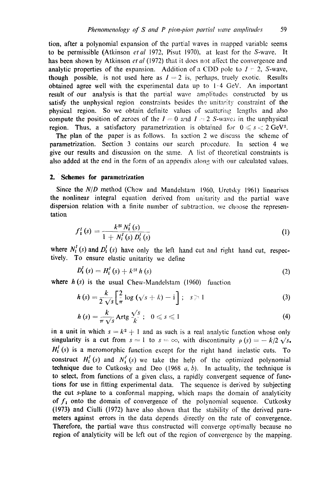tion, after a polynomial expansion of the partial waves in mapped variable seems to be permissible (Atkinson *etal* 1972, Pisut 1970), at least for the S-wave. It has been shown by Atkinson *et al* (1972) that it does not affect the convergence and analytic properties of the expansion. Addition of a CDD pole to  $I = 2$ , S-wave, though possible, is not used here as  $I = 2$  is, perhaps, truely exotic. Results obtained agree well with the experimental data up to 1.4 GeV. An important result of our analysis is that the partial wave amplitudes constructed by us satisfy the unphysical region constraints besides the unitarity constraint of the physical region. So we obtain definite values of scattering lengths and also compute the position of zeroes of the  $I = 0$  and  $I = 2$  S-waves in the unphysical region. Thus, a satisfactory parametrization is obtained for  $0 \le s < 2 \text{ GeV}^2$ .

The plan of the paper is as follows. In section 2 we discuss the scheme of parametrization. Section 3 contains our search procedure. In section 4 we give our results and discussion on the same. A list of theoretical constraints is also added at the end in the form of an appendix along with our calculated values.

## **2. Schemes for parametrization**

Since the *N/D* method (Chew and Mandelstam 1960, Uretsky 1961) linearises **the** nonlinear integral equation derived from tmitarity and the partial wave dispersion relation with a finite number of subtraction, we choose the representation

$$
f_{i}^{I}(s) = \frac{k^{2l} N_{i}^{I}(s)}{1 + N_{i}^{I}(s) D_{i}^{I}(s)}
$$
(1)

where  $N_i^I$  (s) and  $D_i^I$  (s) have only the left hand cut and right hand cut, respectively. To ensure elastic unitarity we define

$$
D'_{1}(s) = H'_{1}(s) + k^{2l} h(s)
$$
 (2)

where  $h(s)$  is the usual Chew-Mandelstam (1960) function

$$
h(s) = \frac{k}{2\sqrt{s}} \left[ \frac{2}{\pi} \log \left( \sqrt{s} + k \right) - i \right]; \quad s \ge 1 \tag{3}
$$

$$
h(s) = \frac{k}{\pi \sqrt{s}} \operatorname{Artg} \frac{\sqrt{s}}{k}; \quad 0 \leqslant s \leqslant 1 \tag{4}
$$

in a unit in which  $s = k^2 + 1$  and as such is a real analytic function whose only singularity is a cut from  $s=1$  to  $s=\infty$ , with discontinuity  $\rho(s)=-k/2 \sqrt{s}$ .  $H<sub>i</sub><sup>I</sup>$  (s) is a meromorphic function except for the right hand inelastic cuts. To construct  $H_1^I(s)$  and  $N_i^I(s)$  we take the help of the optimized polynomial technique due to Cutkosky and Deo (1968  $a, b$ ). In actuality, the technique is to select, from functions of a given class, a rapidly convergent sequence of functions for use in fitting experimental data. The sequence is derived by subjecting the cut s-plane to a conformal mapping, which maps the domain of analyticity of  $f_{\rm I}$  onto the domain of convergence of the polynomial sequence. Cutkosky (1973) and Ciulli (1972) have also shown that the stability of the derived parameters against errors in the data depends directly on the rate of convergence. Therefore, the partial wave thus constructed will converge optimally because no region of analyticity will be left out of the region of convergence by the mapping.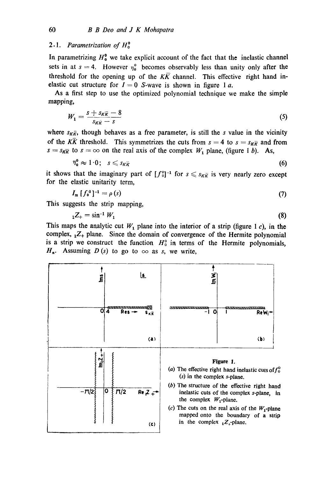## *2. I. Parametrization of H °*

In parametrizing  $H_0^0$  we take explicit account of the fact that the inelastic channel sets in at  $s = 4$ . However  $\eta_0^0$  becomes observably less than unity only after the threshold for the opening up of the  $K\overline{K}$  channel. This effective right hand inelastic cut structure for  $I = 0$  S-wave is shown in figure 1 a.

As a first step to use the optimized polynomial technique we make the simple mapping,

$$
W_1 = \frac{s + s_{K\overline{K}} - 8}{s_{K\overline{K}} - s} \tag{5}
$$

where  $s_{K\bar{K}}$ , though behaves as a free parameter, is still the s value in the vicinity of the  $K\bar{K}$  threshold. This symmetrizes the cuts from  $s = 4$  to  $s = s_{K\bar{K}}$  and from  $s = s_{K\overline{K}}$  to  $s = \infty$  on the real axis of the complex  $W_1$  plane, (figure 1 b). As,

$$
\eta_{\mathbf{0}}^{\mathbf{0}} \approx 1.0; \quad s \leqslant s_{K\widetilde{K}} \tag{6}
$$

it shows that the imaginary part of  $[f_0^0]^{-1}$  for  $s \leq s_{K\overline{K}}$  is very nearly zero except for the elastic unitarity term,

$$
I_{m} \left[ f_{0}^{0} \right]^{-1} = \rho \left( s \right) \tag{7}
$$

This suggests the strip mapping,

$$
{}_{1}Z_{+}=\sin^{-1}W_{1} \tag{8}
$$

This maps the analytic cut  $W_1$  plane into the interior of a strip (figure 1 c), in the complex,  $_1Z_+$  plane. Since the domain of convergence of the Hermite polynomial is a strip we construct the function  $H_0^0$  in terms of the Hermite polynomials,  $H_n$ . Assuming D(s) to go to  $\infty$  as s, we write,

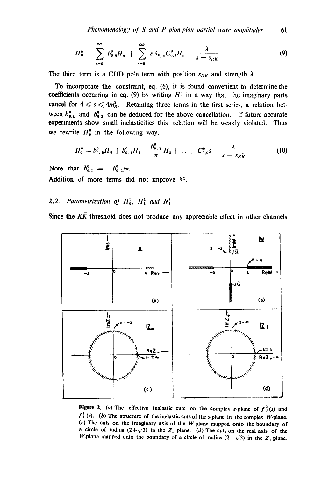$$
H_0^0 = \sum_{n=0}^{\infty} b_{0,n}^0 H_n + \sum_{n=0}^{\infty} s \delta_{0,n} C_{0,n}^0 H_n + \frac{\lambda}{s - s_K \overline{\kappa}}
$$
(9)

The third term is a CDD pole term with position  $s_{K\bar{K}}$  and strength  $\lambda$ .

To incorporate the constraint, eq. (6), it is found convenient to determine the coefficients occurring in eq. (9) by writing  $H_0^0$  in a way that the imaginary parts cancel for  $4 \leq s \leq 4m_K^2$ . Retaining three terms in the first series, a relation between  $b_{0,1}^{\dagger}$  and  $b_{0,2}^{\dagger}$  can be deduced for the above cancellation. If future accurate experiments show small inelasticities this relation will be weakly violated. Thus we rewrite  $H^0$  in the following way,

$$
H_0^0 = b_{0,0}^0 H_0 + b_{0,1}^0 H_1 - \frac{b_{0,1}^0}{\pi} H_2 + \ldots + C_{0,0}^0 s + \frac{\lambda}{s - s_K \overline{\kappa}}
$$
 (10)

Note that  $b_{0,2}^0 = -b_{0,1}^0/\pi$ .

Addition of more terms did not improve  $X<sup>2</sup>$ .

# 2.2. *Parametrization of*  $H_0^2$ ,  $H_1^1$  and  $N_i^I$

Since the  $K\overline{K}$  threshold does not produce any appreciable effect in other channels



Figure 2. (a) The effective inelastic cuts on the complex s-plane of  $f_0^2(s)$  and  $f<sup>1</sup><sub>1</sub>$  (s). (b) The structure of the inelastic cuts of the s-plane in the complex W-plane. **(c)** The cuts on the imaginary axis of the W-plane mapped onto the boundary of a circle of radius  $(2+\sqrt{3})$  in the Z<sub>-plane. (d)</sub> The cuts on the real axis of the W-plane mapped onto the boundary of a circle of radius  $(2+\sqrt{3})$  in the  $Z_+$ -plane.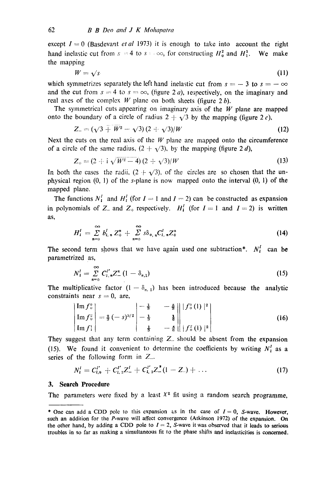except  $I=0$  (Basdevant *et al* 1973) it is enough to take into account the right hand inelastic cut from  $s = 4$  to  $s = \infty$ , for constructing  $H_0^2$  and  $H_1^2$ . We make the mapping

$$
W = \sqrt{s} \tag{11}
$$

which symmetrizes separately the left hand inelastic cut from  $s = -3$  to  $s = -\infty$ and the cut from  $s = 4$  to  $s = \infty$ , (figure 2 a), respectively, on the imaginary and real axes of the complex W plane on both sheets (figure 2 $b$ ).

The symmetrical cuts appearing on imaginary axis of the  $W$  plane are mapped onto the boundary of a circle of radius  $2 + \sqrt{3}$  by the mapping (figure 2 *c*),

$$
Z_{-} = (\sqrt{3} + W^2 - \sqrt{3})(2 + \sqrt{3})/W
$$
 (12)

Next the cuts on the real axis of the  $W$  plane are mapped onto the circumference of a circle of the same radius,  $(2 + \sqrt{3})$ , by the mapping (figure 2 d),

$$
Z_{+} = (2 + i \sqrt{W^2 - 4})(2 + \sqrt{3})/W
$$
 (13)

In both the cases the radii,  $(2 + \sqrt{3})$ , of the circles are so chosen that the unphysical region  $(0, 1)$  of the s-plane is now mapped onto the interval  $(0, 1)$  of the mapped plane.

The functions  $N_1^I$  and  $H_1^I$  (for  $I = 1$  and  $I = 2$ ) can be constructed as expansion in polynomials of Z<sub>-</sub> and Z<sub>+</sub> respectively.  $H_1^I$  (for  $I = 1$  and  $I = 2$ ) is written as,

$$
H_{i}^{I} = \sum_{n=0}^{\infty} b_{i,n}^{I} Z_{+}^{n} + \sum_{n=0}^{\infty} s \delta_{0,n} C_{i,n}^{I} Z_{+}^{n}
$$
 (14)

The second term shows that we have again used one subtraction\*.  $N_i^I$  can be parametrized as,

$$
N_1^I = \sum_{n=0}^{\infty} C_1^{I'} n Z_n^{\mathbf{n}} (1 - \delta_{n,1})
$$
 (15)

The multiplicative factor  $(1 - \delta_{n,1})$  has been introduced because the analytic constraints near  $s = 0$ , are,

$$
\begin{vmatrix} \text{Im } f_0^0 \\ \text{Im } f_0^1 \\ \text{Im } f_1^1 \end{vmatrix} = \frac{2}{3} \left( -s \right)^{3/2} \begin{vmatrix} -\frac{1}{3} & -\frac{5}{3} \\ -\frac{1}{3} & \frac{1}{6} \\ \frac{1}{3} & -\frac{5}{6} \end{vmatrix} \begin{vmatrix} |f_0^0(1)|^2 \\ |f_0^2(1)|^2 \end{vmatrix} \tag{16}
$$

They suggest that any term containing  $Z<sub>-</sub>$  should be absent from the expansion (15). We found it convenient to determine the coefficients by writing  $N_i^I$  as a series of the following form in  $Z_{-}$ .

$$
N_{\mathbf{i}}^{\mathbf{i}} = C_{\mathbf{i},\mathbf{0}}^{\mathbf{i}'} + C_{\mathbf{i},\mathbf{2}}^{\mathbf{i}'} Z_{-}^{\mathbf{i}} + C_{\mathbf{i},\mathbf{3}}^{\mathbf{i}'} Z_{-}^{\mathbf{i}} (1 - Z_{-}) + \ldots
$$
 (17)

#### **3. Search Procedure**

The parameters were fixed by a least  $X^2$  fit using a random search programme,

<sup>\*</sup> One can add a CDD pole to this expansion as in the case of  $I = 0$ , S-wave. However, such an addition for the P-wave will affect convergence (Atkinson 1972) of the expansion. On the other hand, by adding a CDD pole to  $I = 2$ , S-wave it was observed that it leads to serious troubles in so far as making a simultaneous fit to the phase shifts and inelasticities is concerned.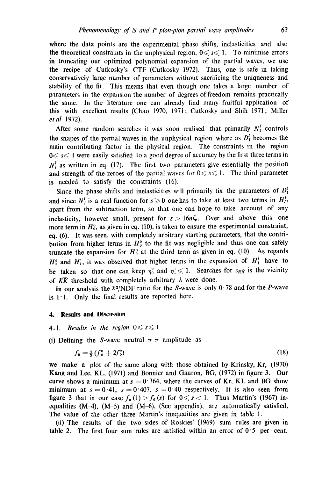where the data points are the experimental phase shifts, inelasticities and also the theoretical constraints in the unphysical region,  $0 \leq s \leq 1$ . To minimise errors in truncating our optimized polynomial expansion of the partial waves, we use the recipe of Cutkosky's CTF (Cutkosky 1972). Thus, one is safe in taking eonservatively large number of parameters without sacrificing the uniqueness and stability of the fit. This means that even though one takes a large number of parameters in the expansion the number of degrees of freedom remains practically the same. In the literature one can already find many fruitful application of this with excellent results (Chao 1970, 1971; Cutkosky and Shih 1971; Miller *et al* 1972).

After some random searches it was soon realised that primarily  $N_t^I$  controls the shapes of the partial waves in the unphysical region where as  $D<sup>I</sup><sub>i</sub>$  becomes the main contributing factor in the physical region. The constraints in the region  $0 \le s \le 1$  were easily satisfied to a good degree of accuracy by the first three terms in  $N<sub>i</sub><sup>I</sup>$  as written in eq. (17). The first two parameters give essentially the position and strength of the zeroes of the partial waves for  $0 \le s \le 1$ . The third parameter is needed to satisfy the constraints (16).

Since the phase shifts and inelasticities will primarily fix the parameters of  $D<sub>i</sub><sup>i</sup>$ and since  $N<sub>l</sub><sup>l</sup>$  is a real function for  $s \ge 0$  one has to take at least two terms in  $H<sub>l</sub><sup>l</sup>$ , apart from the subtraction term, so that one can hope to take account of any inelasticity, however small, present for  $s > 16m_{\pi}^2$ . Over and above this one more term in  $H_0^0$ , as given in eq. (10), is taken to ensure the experimental constraint, eq. (6). It was seen, with completely arbitrary starting parameters, that the contribution from higher terms in  $H_0^0$  to the fit was negligible and thus one can safely truncate the expansion for  $H_0^0$  at the third term as given in eq. (10). As regards  $H_0^2$  and  $H_1^1$ , it was observed that higher terms in the expansion of  $H_1^1$  have to be taken so that one can keep  $\eta_0^2$  and  $\eta_1^1 \leq 1$ . Searches for  $s_{K\bar{K}}$  is the vicinity of  $K\bar{K}$  threshold with completely arbitrary  $\lambda$  were done.

In our analysis the  $X^2/NDF$  ratio for the S-wave is only 0.78 and for the P-wave is  $1 \cdot 1$ . Only the final results are reported here.

### **4. Results and Disenssion**

#### **4.1.** *Results in the region*  $0 \le s \le 1$

(i) Defining the S-wave neutral  $\pi-\pi$  amplitude as

$$
f_0 = \frac{1}{3} \left( f_0^0 + 2f_0^2 \right) \tag{18}
$$

we make a plot of the same along with those obtained by Krinsky, Kr, (1970) Kang and Lee, KL, (1971) and Bonnier and Gauron, BG, (1972) in figure 3. Our curve shows a minimum at  $s = 0.364$ , where the curves of Kr, KL and BG show minimum at  $s = 0.41$ ,  $s = 0.407$ ,  $s = 0.40$  respectively. It is also seen from figure 3 that in our case  $f_0$  (1)  $>f_0$  (s) for  $0 \le s < 1$ . Thus Martin's (1967) inequalities  $(M-4)$ ,  $(M-5)$  and  $(M-6)$ , (See appendix), are automatically satisfied. The value of the other three Martin's inequalities are given in table 1.

(ii) The results of the two sides of Roskies' (1969) sum rules are given in table 2. The first four sum rules are satisfied within an error of  $0.5$  per cent.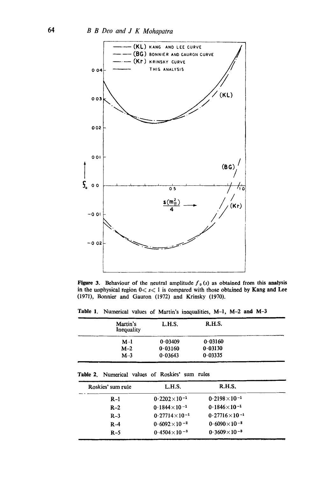

Figure 3. Behaviour of the neutral amplitude  $f_0(s)$  as obtained from this analysis in the unphysical region  $0 \le s \le 1$  is compared with those obtained by Kang and Lee (1971), Bonnier and Gauron (1972) and Krinsky (1970).

Table 1. Numerical values of Martin's inequalities,  $M-1$ ,  $M-2$  and  $M-3$ 

| Martin's<br>Inequality | L.H.S.  | R.H.S.  |  |
|------------------------|---------|---------|--|
| $M-1$                  | 0.03409 | 0.03160 |  |
| $M-2$                  | 0.03160 | 0.03130 |  |
| $M-3$                  | 0.03643 | 0.03335 |  |

| <b>Table 2.</b> Numerical values of Roskies' sum rules |  |  |  |  |  |
|--------------------------------------------------------|--|--|--|--|--|
|--------------------------------------------------------|--|--|--|--|--|

| Roskies' sum rule | L.H.S.                  | R.H.S.                 |  |
|-------------------|-------------------------|------------------------|--|
| $R-1$             | $0.2202\times10^{-1}$   | $0.2198\times10^{-1}$  |  |
| $R-2$             | $0.1844 \times 10^{-1}$ | $0.1846\times10^{-1}$  |  |
| $R-3$             | $0.27714\times10^{-1}$  | $0.27716\times10^{-1}$ |  |
| $R-4$             | $0.6092 \times 10^{-2}$ | $0.6090\times10^{-2}$  |  |
| $R-5$             | $0.4504\times10^{-3}$   | $0.3609\times10^{-3}$  |  |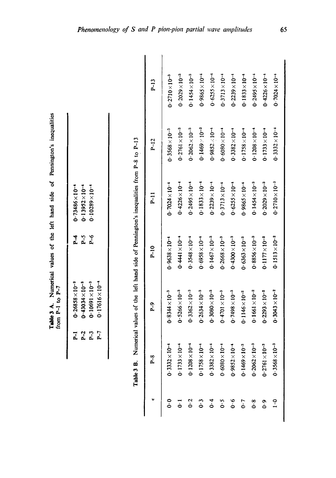| side   |   |
|--------|---|
| 1ân    |   |
| iet    |   |
| ot the |   |
|        |   |
| values |   |
|        |   |
|        | ł |
|        |   |

| $0.73486 \times 10^{-4}$ | $0.13952\times10^{-4}$ | $0.10289\times10^{-4}$   |                          |
|--------------------------|------------------------|--------------------------|--------------------------|
| <u>վ</u>                 | <u>ը՝</u>              | م<br>ما                  |                          |
| $0.26858 \times 10^{-3}$ | $0.43034\times10^{-3}$ | $0.10691 \times 10^{-3}$ | $0.17616 \times 10^{-4}$ |
|                          | P <sub>2</sub>         | <u>բ 1</u>               | <u>բ 1</u>               |

| ׇ֚֘֡   |
|--------|
|        |
|        |
|        |
|        |
| Ì      |
|        |
|        |
|        |
|        |
|        |
|        |
|        |
|        |
|        |
|        |
|        |
|        |
|        |
|        |
|        |
| י<br>; |
| ļ      |
| ļ      |
|        |
|        |
|        |
|        |
| í      |
|        |
|        |
|        |
|        |
|        |
|        |
|        |
|        |
|        |
|        |
|        |
|        |
|        |
| í      |

|                                    | $P-8$                                    | $P - 9$                 | $P_{-1}0$               | $P-11$                  | $P-12$                  | $P-13$                  |
|------------------------------------|------------------------------------------|-------------------------|-------------------------|-------------------------|-------------------------|-------------------------|
| $\frac{6}{1}$                      | $0.3332 \times 10^{-4}$                  | $0.8344 \times 10^{-3}$ | $0.9638 \times 10^{-4}$ | $0.7024\times10^{-4}$   | $0.3568 \times 10^{-3}$ | $0.2710\times10^{-3}$   |
| $\vec{0}$                          | $0.1733 \times 10^{-4}$                  | $0.5266 \times 10^{-3}$ | $0.4441\times10^{-4}$   | $0.4226\times10^{-4}$   | $0.2761 \times 10^{-3}$ | $0.2029\times10^{-3}$   |
| $0-2$                              | $0.1208 \times 10^{-4}$                  | $0.3362\times10^{-3}$   | $0.3548 \times 10^{-4}$ | $0.2495\times10^{-4}$   | $0.2062 \times 10^{-3}$ | $0.1454\times10^{-3}$   |
| $0 - 3$                            | $0.1758\times10^{-4}$                    | $0.2634\times10^{-3}$   | $0.6958 \times 10^{-4}$ | $0.1833\times10^{-4}$   | $0.1469 \times 10^{-3}$ | $0.9865\times10^{-4}$   |
| 0.4                                | $0.3382\times10^{-4}$                    | $0.3080\times10^{-3}$   | $0.1467 \times 10^{-3}$ | $0.2239 \times 10^{-4}$ | $0.9852 \times 10^{-4}$ | $0.6255\times10^{-4}$   |
| 0.5                                | ڻوا<br>$0.6080 \times 1$                 | $0.4701 \times 10^{-3}$ | $0.2668 \times 10^{-3}$ | $0.3713 \times 10^{-4}$ | $0.6080 \times 10^{-4}$ | $0.3713\times10^{-4}$   |
| $\ddot{\mathbf{0}}\cdot\mathbf{0}$ | $\frac{1}{2}$<br>$0.9852\times1$         | $0.7498\times10^{-3}$   | $0.4300\times10^{-3}$   | $0.6255 \times 10^{-4}$ | $0.3382 \times 10^{-4}$ | $0.2239 \times 10^{-4}$ |
| 0.7                                | $\ddot{\mathbf{0}}$<br>$0.1469 \times 1$ | $0.1146 \times 10^{-2}$ | $0.6363 \times 10^{-3}$ | $0.9865 \times 10^{-4}$ | $0.1758\times10^{-4}$   | $0.1833\times10^{-4}$   |
| $\mathbf{0}\cdot\mathbf{8}$        | ڻوا<br>$0.2062\times1$                   | $0.1661 \times 10^{-2}$ | $0.8856 \times 10^{-3}$ | $0.1454 \times 10^{-3}$ | $0.1208 \times 10^{-4}$ | $0.2495 \times 10^{-4}$ |
| $\frac{6}{10}$                     | ڻ<br>$0.2761 \times 1$                   | $0.2293 \times 10^{-2}$ | $0.1177 \times 10^{-2}$ | $0.2029 \times 10^{-3}$ | $0.1733\times10^{-4}$   | $0.4226\times10^{-4}$   |
| $\ddot{1} \cdot 0$                 | $\ddot{0}$<br>$0.3568\times1$            | $0.3043 \times 10^{-2}$ | $0.1513 \times 10^{-2}$ | $0.2710 \times 10^{-3}$ | $0.3332 \times 10^{-4}$ | $0.7024\times10^{-4}$   |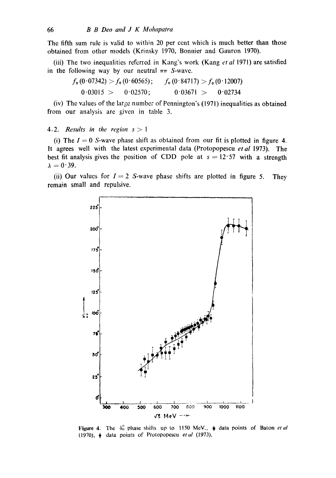The fifth sum rule is valid to within 20 per cent which is much better than those obtained from other models (Krinsky 1970, Bonnier and Gauron 1970).

(iii) The two inequalities referred in Kang's work (Kang *et al* 1971) are satisfied in the following way by our neutral  $\pi\pi$  S-wave.

$$
f_0 (0.07342) > f_0 (0.60565); \qquad f_0 (0.84717) > f_0 (0.12007)
$$
  
0.03015 > 0.02570; 0.03671 > 0.02734

 $(iv)$  The values of the large number of Pennington's (1971) inequalities as obtained from our analysis are given in table 3.

#### 4.2. *Results in the region s > 1*

(i) The  $I = 0$  S-wave phase shift as obtained from our fit is plotted in figure 4. It agrees well with the latest experimental data (Protopopescu *etal* 1973). The best fit analysis gives the position of CDD pole at  $s = 12.57$  with a strength  $\lambda = 0.39$ .

(ii) Our values for  $I = 2$  S-wave phase shifts are plotted in figure 5. They remain small and repulsive.



**Figure 4.** The  $\delta_0^{\nu}$  phase shifts up to 1150 MeV.,  $\dot{\psi}$  data points of Baton *et al* (1970),  $\phi$  data points of Protopopescu *et al* (1973).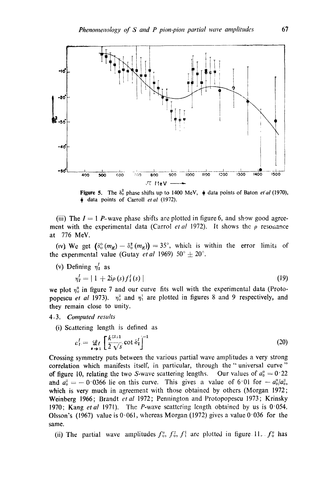

Figure 5. The  $\delta_0^2$  phase shifts up to 1400 MeV,  $\dot{\phi}$  data points of Baton *et al* (1970), data points of Carroll *etal* (1972).

(iii) The  $I = 1$  P-wave phase shifts are plotted in figure 6, and show good agreement with the experimental data (Carrol *et al* 1972). It shows the  $\rho$  resonance at 776 MeV.

(iv) We get  $(\delta_0^0(m_K)-\delta_0^2(m_K))=35^\circ$ , which is within the error limits of the experimental value (Gutay *et al* 1969)  $50^{\circ} \pm 20^{\circ}$ .

(v) Defining  $\eta'_1$  as

$$
\eta_1^I = | 1 + 2i\rho(s) f_1^I(s) | \tag{19}
$$

we plot  $\eta_0^0$  in figure 7 and our curve fits well with the experimental data (Protopopescu *et al* 1973).  $\eta_0^2$  and  $\eta_1^1$  are plotted in figures 8 and 9 respectively, and they remain close to unity.

### *4.3. Computed results*

(i) Scattering length is defined as

$$
c_t^I = \mathop{\mathcal{Q}}\limits_{\bullet \to 1} \left[ \frac{k^{zt+1}}{2\sqrt{s}} \cot \delta_t^I \right]^{-1} \tag{20}
$$

Crossing symmetry puts between the various partial wave amplitudes a very strong correlation which manifests itself, in particular, through the "universal curve" of figure 10, relating the two S-wave scattering lengths. Our values of  $a_0^0 = 0.22$ and  $a_0^2 = -0.0366$  lie on this curve. This gives a value of 6.01 for  $-a_0^0/a_0^2$ , which is very much in agreement with those obtained by others (Morgan 1972; Weinberg 1966; Brandt *et al* 1972; Pennington and l'rotopopescu 1973; Krinsky 1970; Kang *etal* 1971). The P-wave scattering length obtained by us is 0'054. Olsson's (1967) value is 0.061, whereas Morgan (1972) gives a value 0.036 for the same.

(ii) The partial wave amplitudes  $f_0^0$ ,  $f_0^2$ ,  $f_1^1$  are plotted in figure 11.  $f_0^0$  has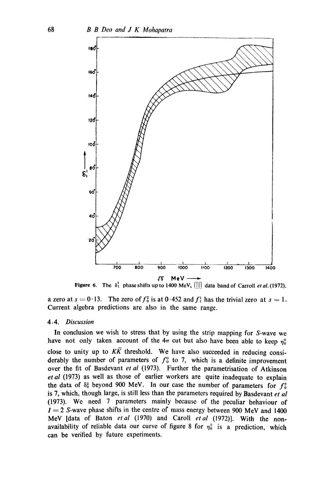

**Figure 6.** The  $\delta_1^1$  phase shifts up to 1400 MeV,  $\boxed{||}$  data band of Carroll *et al.* (1972).

a zero at  $s = 0.13$ . The zero of  $f_0^2$  is at 0.452 and  $f_1^1$  has the trivial zero at  $s = 1$ . Current algebra predictions are also in the same range.

### 4.4. *Discussion*

In conclusion we wish to stress that by using the strip mapping for S-wave we have not only taken account of the  $4\pi$  cut but also have been able to keep  $\eta_0^0$ close to unity up to  $K\overline{K}$  threshold. We have also succeeded in reducing considerably the number of parameters of  $f_0^0$  to 7, which is a definite improvement over the fit of Basdevant *et al* (1973). Further the parametrisation of Atkinson *et al* (1973) as well as those of earlier workers are quite inadequate to explain the data of  $\delta_0^2$  beyond 900 MeV. In our case the number of parameters for  $f_0^2$ is 7, which, though large, is still less than the parameters required by Basdevant *et al*  (1973). We need 7 parameters mainly because of the peculiar behaviour of  $I = 2$  S-wave phase shifts in the centre of mass energy between 900 MeV and 1400 MeV [data of Baton *etal* (1970) and Caroll *etal* (1972)]. With the nonavailability of reliable data our curve of figure 8 for  $\eta_0^2$  is a prediction, which can be verified by future experiments.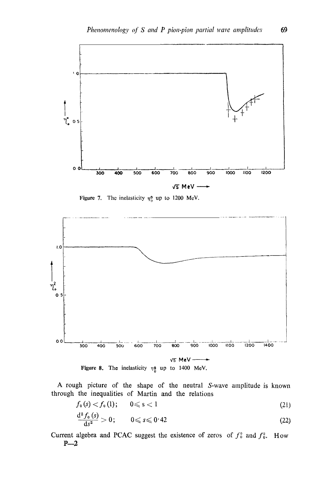

Figure 7. The inelasticity  $\eta_0^0$  up to 1200 MeV.



A rough picture of the shape of the neutral S-wave amplitude is known through the inequalities of Martin and the relations

$$
f_0(s) < f_0(1); \qquad 0 \leqslant s < 1 \tag{21}
$$

$$
\frac{\mathrm{d}^2 f_0(s)}{\mathrm{d}s^2} > 0; \qquad 0 \leqslant s \leqslant 0.42 \tag{22}
$$

Current algebra and PCAC suggest the existence of zeros of  $f_0^0$  and  $f_0^2$ . How  $P-2$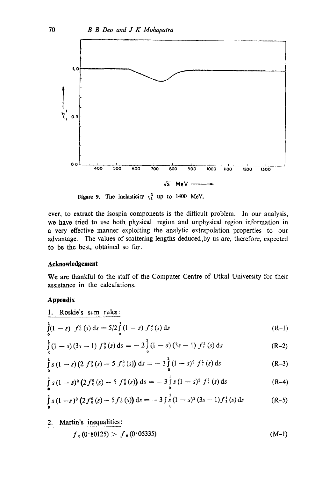

Figure 9. The inelasticity  $\eta_1^2$  up to 1400 MeV.

ever, to extract the isospin components is the difficult problem. In our analysis, we have tried to use both physical region and unphysical region information in a very effective manner exploiting the analytic extrapolation properties to our advantage. The values of scattering lengths deduced,by us are, therefore, expected to be the best. obtained so far.

## **Acknowledgement**

We are thankful to the staff of the Computer Centre of Utkal University for their assistance in the calculations.

### **Appendix**

1. Roskie's sum rules:  
\n
$$
\int_{0}^{1} (1-s) f_{0}^{0}(s) ds = 5/2 \int_{0}^{1} (1-s) f_{0}^{2}(s) ds
$$
\n(R-1)

$$
\int_{0}^{1} (1-s) (3s-1) f_{0}^{0}(s) ds = -2 \int_{0}^{1} (1-s) (3s-1) f_{0}^{2}(s) ds
$$
 (R-2)

$$
\int_{0}^{1} s (1-s) (2 f_0^{0}(s) - 5 f_0^{2}(s)) ds = - 3 \int_{0}^{1} (1-s)^2 f_1^{1}(s) ds
$$
 (R-3)

$$
\int_{0}^{1} s (1-s)^{2} (2 f_{0}^{0}(s) - 5 f_{0}^{2}(s)) ds = -3 \int_{0}^{1} s (1-s)^{2} f_{1}^{1}(s) ds
$$
 (R-4)

$$
\int_{0}^{1} s (1-s)^{3} (2f_{0}^{0}(s) - 5f_{0}^{2}(s)) ds = -3 \int_{0}^{1} (1-s)^{2} (3s - 1) f_{1}^{1}(s) ds
$$
 (R-5)

2. Martin's inequalities:

$$
f_{\mathbf{0}}(0.80125) > f_{\mathbf{0}}(0.05335) \tag{M-1}
$$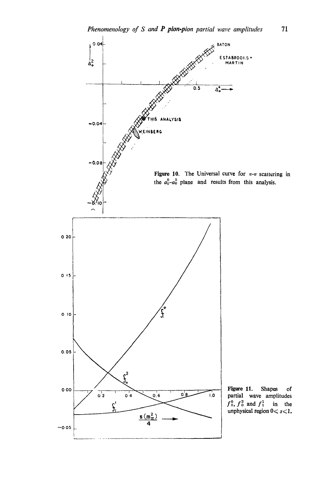

 $71\,$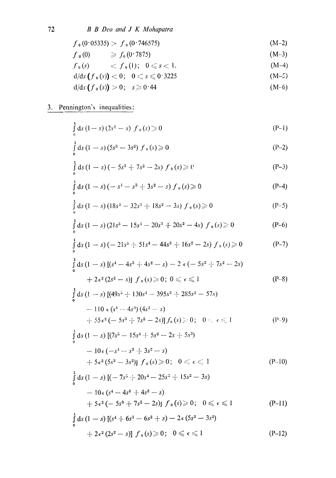$$
f_0(0.05335) > f_0(0.746575) \tag{M-2}
$$

$$
f_0(0) \qquad \geqslant f_0(0.7875) \qquad \qquad (M-3)
$$

- $f_0(s)$   $\langle f_0(1); 0 \leq s < 1.$  $(M-4)$
- $d/ds (f_0(s)) < 0; 0 \leq s \leq 0.3225$  $(M-5)$
- $d/ds (f_0(s)) > 0; s \ge 0.44$  $(M-6)$

# 3. Pennington's inequalities:

$$
\int_{0}^{1} ds (1-s) (2s^{2} - s) f_{0}(s) \ge 0
$$
 (P-1)

$$
\int_{0}^{1} ds (1-s) (5s^{3} - 3s^{2}) f_{0}(s) \ge 0
$$
 (P-2)

$$
\int_{0}^{1} ds (1-s) (-5s^{3} + 7s^{2} - 2s) f_{0}(s) \ge 0
$$
 (P-3)

$$
\int_{0}^{1} ds (1-s) (-s^{4} - s^{3} + 3s^{2} - s) f_{0}(s) \geqslant 0
$$
 (P-4)

$$
\int_{0}^{1} ds (1-s) (18s^{1} - 32s^{3} + 18s^{2} - 3s) f_{0}(s) \ge 0
$$
 (P-5)

$$
\int_{0}^{1} ds (1-s) (21s^{5} - 15s^{1} - 20s^{3} + 20s^{2} - 4s) f_{0}(s) \ge 0
$$
 (P-6)

$$
\int_{0}^{1} ds (1-s) (-21s^{5} + 51s^{4} - 44s^{3} + 16s^{2} - 2s) f_{0}(s) \ge 0
$$
 (P-7)

$$
\int_{0}^{1} ds (1-s) [(s^{4} - 4s^{3} + 4s^{2} - s) - 2 \epsilon (-5s^{3} + 7s^{2} - 2s) + 2 \epsilon^{2} (2s^{2} - s)] f_{0}(s) \ge 0; 0 \le \epsilon \le 1
$$
\n(P-8)

$$
\int_{0}^{1} ds (1-s) [(49s^{5} + 130s^{4} - 395s^{3} + 285s^{2} - 57s)
$$
  
-110  $\epsilon (s^{4} - 4s^{3}) (4s^{2} - s)$   
- $\left[- 55\epsilon^{2} (-5s^{3} + 7s^{2} - 2s)\right] f_{0}(s) \ge 0; 0: \epsilon \le 1$  (P-9)

$$
\int_{0}^{1} ds (1-s) [(7s^{5} - 15s^{4} + 5s^{2} - 2s + 5s^{3})
$$
  
- 10 $\epsilon$  (-s<sup>4</sup> - s<sup>3</sup> + 3s<sup>2</sup> - s)

$$
[-5\epsilon^2(5s^3-3s^2)]\ f_0(s) \geqslant 0\,;\quad 0\leqslant\epsilon\leqslant 1\tag{P-10}
$$

$$
\int_{0}^{1} ds (1-s) [(-7s5 + 20s4 - 25s3 + 15s2 - 3s)- 10 \epsilon (s4 - 4s3 + 4s2 - s)+ 5 \epsilon2 (-5s3 + 7s2 - 2s)] f0(s) \ge 0; 0 \le \epsilon \le 1
$$
 (P-11)

$$
\int_{0}^{1} ds (1-s) [(s^{4} + 6s^{3} - 6s^{2} + s) - 2\epsilon (5s^{3} - 3s^{2}) \n+ 2\epsilon^{2} (2s^{2} - s)] f_{0}(s) \ge 0; \quad 0 \le \epsilon \le 1
$$
\n(P-12)